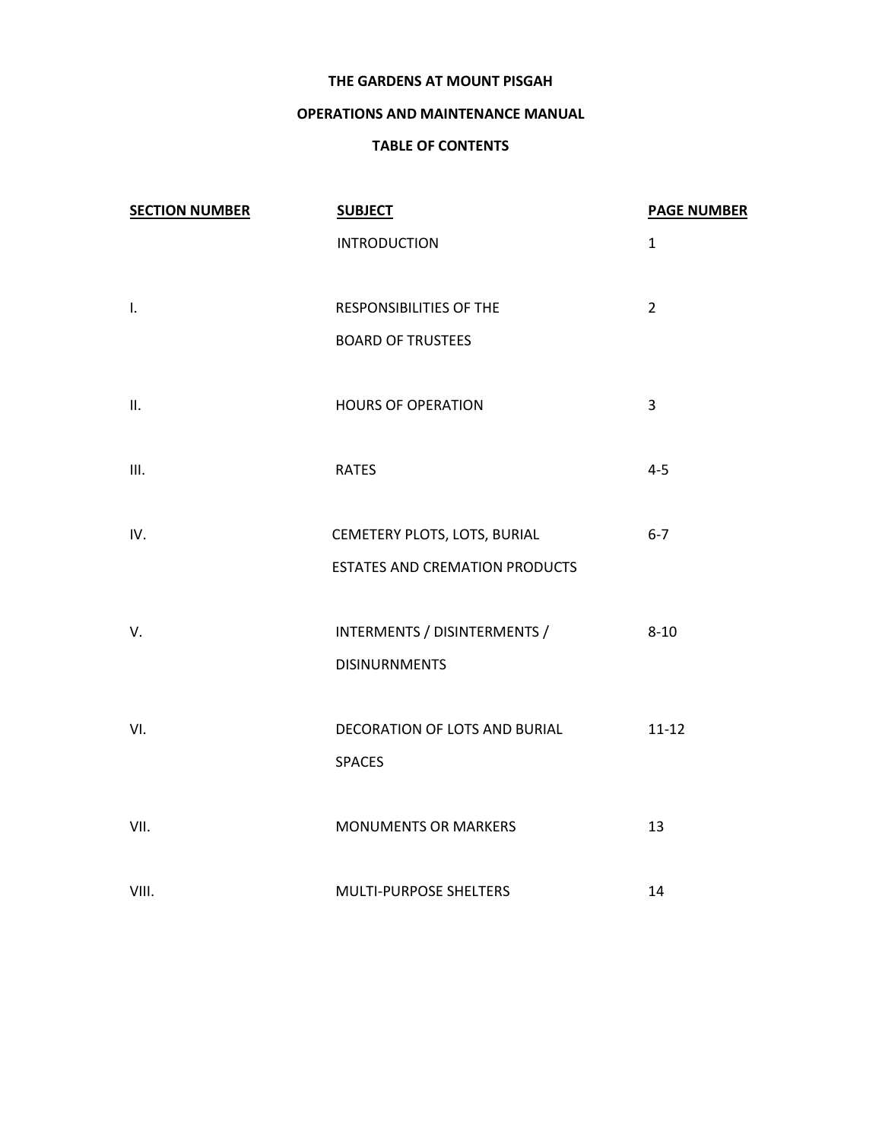### **THE GARDENS AT MOUNT PISGAH**

## **OPERATIONS AND MAINTENANCE MANUAL**

## **TABLE OF CONTENTS**

| <b>SECTION NUMBER</b> | <b>SUBJECT</b>                        | <b>PAGE NUMBER</b> |
|-----------------------|---------------------------------------|--------------------|
|                       | <b>INTRODUCTION</b>                   | $\mathbf{1}$       |
| $\mathbf{I}$ .        | <b>RESPONSIBILITIES OF THE</b>        | $\overline{2}$     |
|                       | <b>BOARD OF TRUSTEES</b>              |                    |
| II.                   | <b>HOURS OF OPERATION</b>             | 3                  |
| III.                  | <b>RATES</b>                          | $4 - 5$            |
| IV.                   | CEMETERY PLOTS, LOTS, BURIAL          | $6 - 7$            |
|                       | <b>ESTATES AND CREMATION PRODUCTS</b> |                    |
| V.                    | INTERMENTS / DISINTERMENTS /          | $8 - 10$           |
|                       | <b>DISINURNMENTS</b>                  |                    |
| VI.                   | DECORATION OF LOTS AND BURIAL         | $11 - 12$          |
|                       | <b>SPACES</b>                         |                    |
| VII.                  | <b>MONUMENTS OR MARKERS</b>           | 13                 |
| VIII.                 | MULTI-PURPOSE SHELTERS                | 14                 |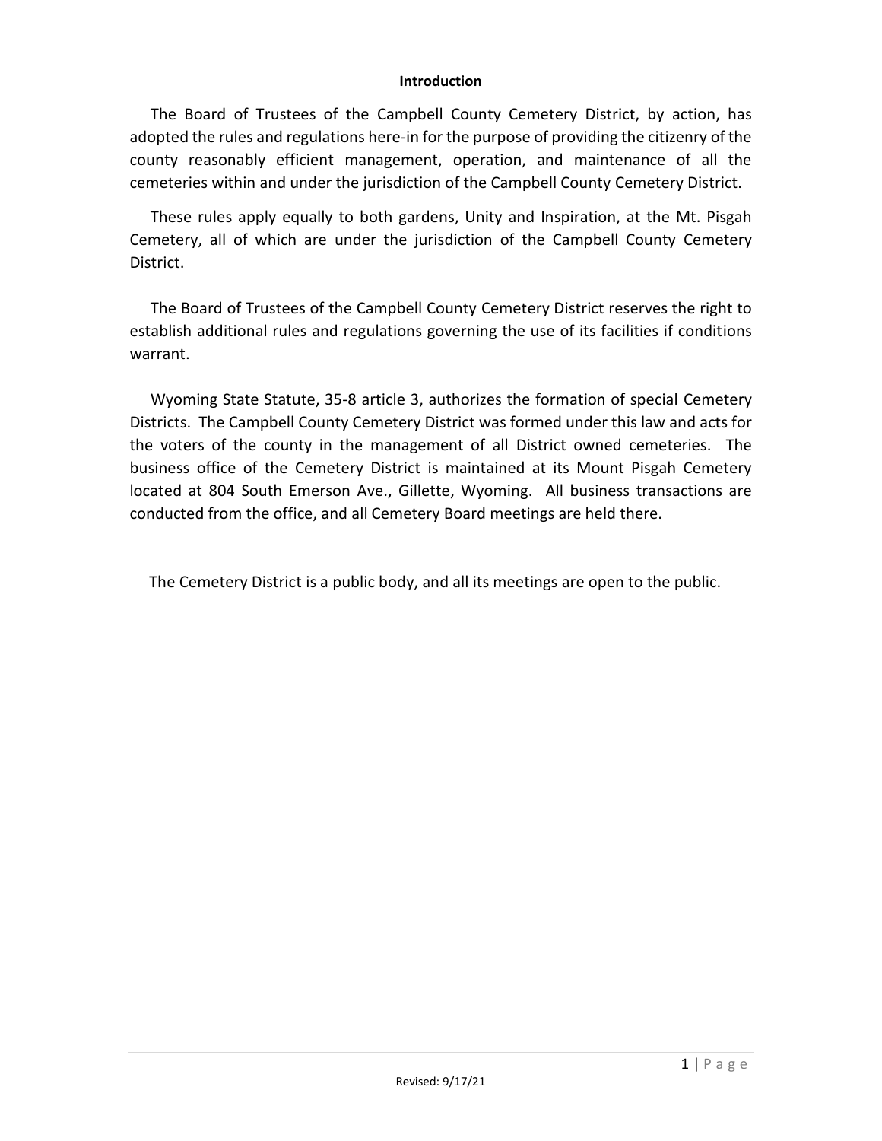### **Introduction**

The Board of Trustees of the Campbell County Cemetery District, by action, has adopted the rules and regulations here-in for the purpose of providing the citizenry of the county reasonably efficient management, operation, and maintenance of all the cemeteries within and under the jurisdiction of the Campbell County Cemetery District.

These rules apply equally to both gardens, Unity and Inspiration, at the Mt. Pisgah Cemetery, all of which are under the jurisdiction of the Campbell County Cemetery District.

The Board of Trustees of the Campbell County Cemetery District reserves the right to establish additional rules and regulations governing the use of its facilities if conditions warrant.

Wyoming State Statute, 35-8 article 3, authorizes the formation of special Cemetery Districts. The Campbell County Cemetery District was formed under this law and acts for the voters of the county in the management of all District owned cemeteries. The business office of the Cemetery District is maintained at its Mount Pisgah Cemetery located at 804 South Emerson Ave., Gillette, Wyoming. All business transactions are conducted from the office, and all Cemetery Board meetings are held there.

The Cemetery District is a public body, and all its meetings are open to the public.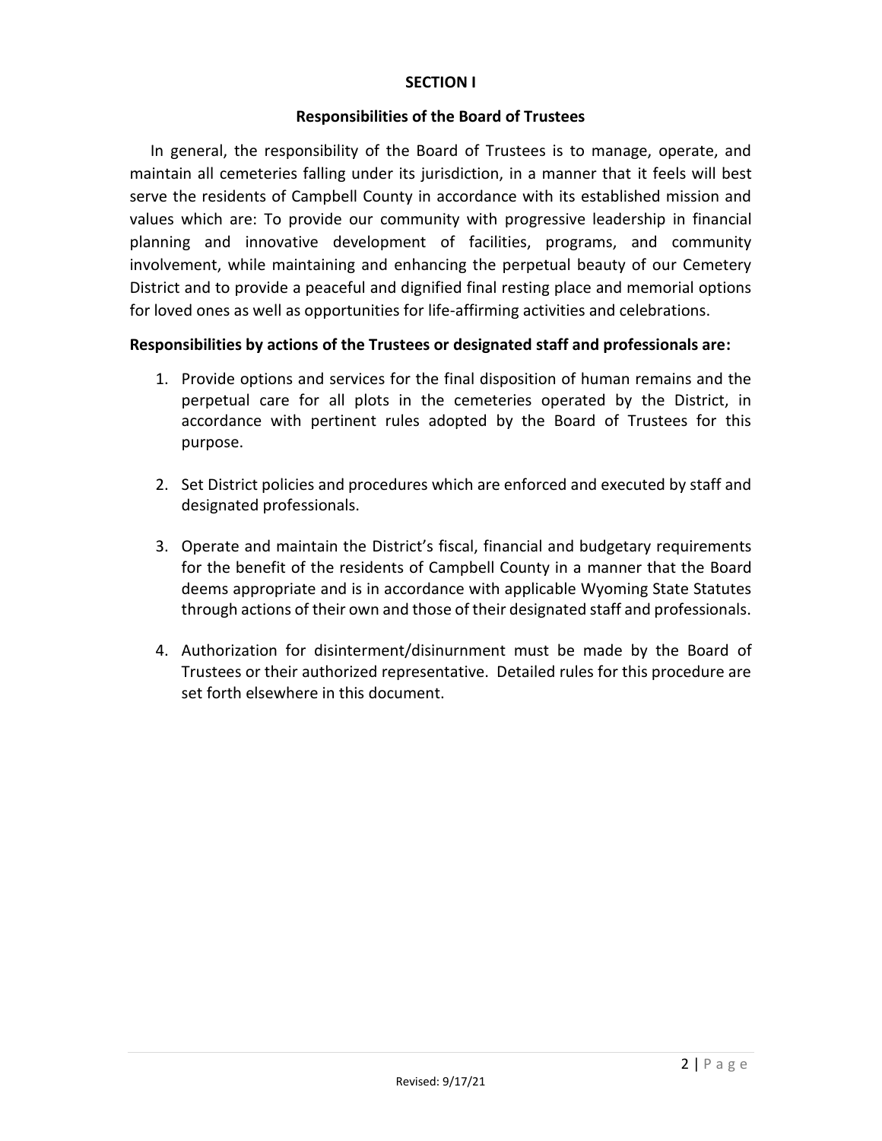## **SECTION I**

### **Responsibilities of the Board of Trustees**

In general, the responsibility of the Board of Trustees is to manage, operate, and maintain all cemeteries falling under its jurisdiction, in a manner that it feels will best serve the residents of Campbell County in accordance with its established mission and values which are: To provide our community with progressive leadership in financial planning and innovative development of facilities, programs, and community involvement, while maintaining and enhancing the perpetual beauty of our Cemetery District and to provide a peaceful and dignified final resting place and memorial options for loved ones as well as opportunities for life-affirming activities and celebrations.

## **Responsibilities by actions of the Trustees or designated staff and professionals are:**

- 1. Provide options and services for the final disposition of human remains and the perpetual care for all plots in the cemeteries operated by the District, in accordance with pertinent rules adopted by the Board of Trustees for this purpose.
- 2. Set District policies and procedures which are enforced and executed by staff and designated professionals.
- 3. Operate and maintain the District's fiscal, financial and budgetary requirements for the benefit of the residents of Campbell County in a manner that the Board deems appropriate and is in accordance with applicable Wyoming State Statutes through actions of their own and those of their designated staff and professionals.
- 4. Authorization for disinterment/disinurnment must be made by the Board of Trustees or their authorized representative. Detailed rules for this procedure are set forth elsewhere in this document.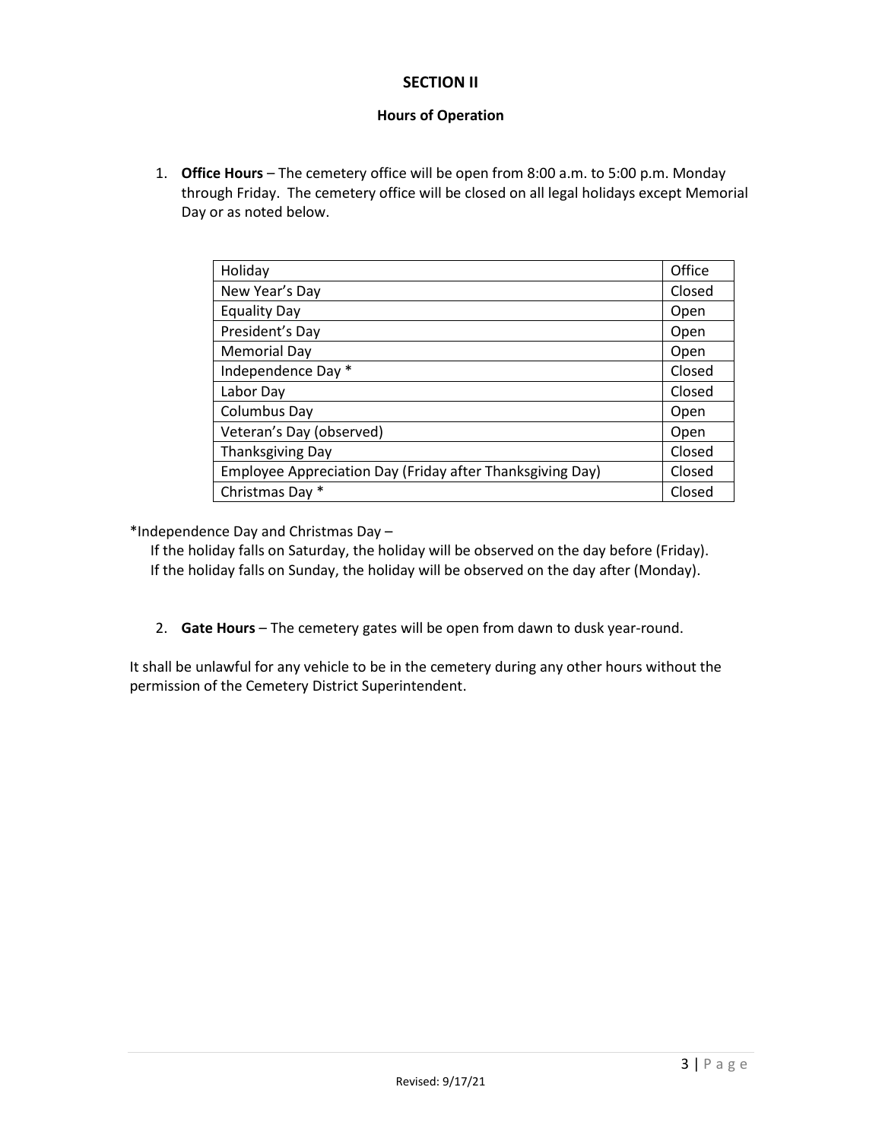## **SECTION II**

## **Hours of Operation**

1. **Office Hours** – The cemetery office will be open from 8:00 a.m. to 5:00 p.m. Monday through Friday. The cemetery office will be closed on all legal holidays except Memorial Day or as noted below.

| Holiday                                                   | Office |
|-----------------------------------------------------------|--------|
| New Year's Day                                            | Closed |
| <b>Equality Day</b>                                       | Open   |
| President's Day                                           | Open   |
| <b>Memorial Day</b>                                       | Open   |
| Independence Day *                                        | Closed |
| Labor Day                                                 | Closed |
| Columbus Day                                              | Open   |
| Veteran's Day (observed)                                  | Open   |
| <b>Thanksgiving Day</b>                                   | Closed |
| Employee Appreciation Day (Friday after Thanksgiving Day) | Closed |
| Christmas Day *                                           | Closed |

\*Independence Day and Christmas Day –

If the holiday falls on Saturday, the holiday will be observed on the day before (Friday). If the holiday falls on Sunday, the holiday will be observed on the day after (Monday).

2. **Gate Hours** – The cemetery gates will be open from dawn to dusk year-round.

It shall be unlawful for any vehicle to be in the cemetery during any other hours without the permission of the Cemetery District Superintendent.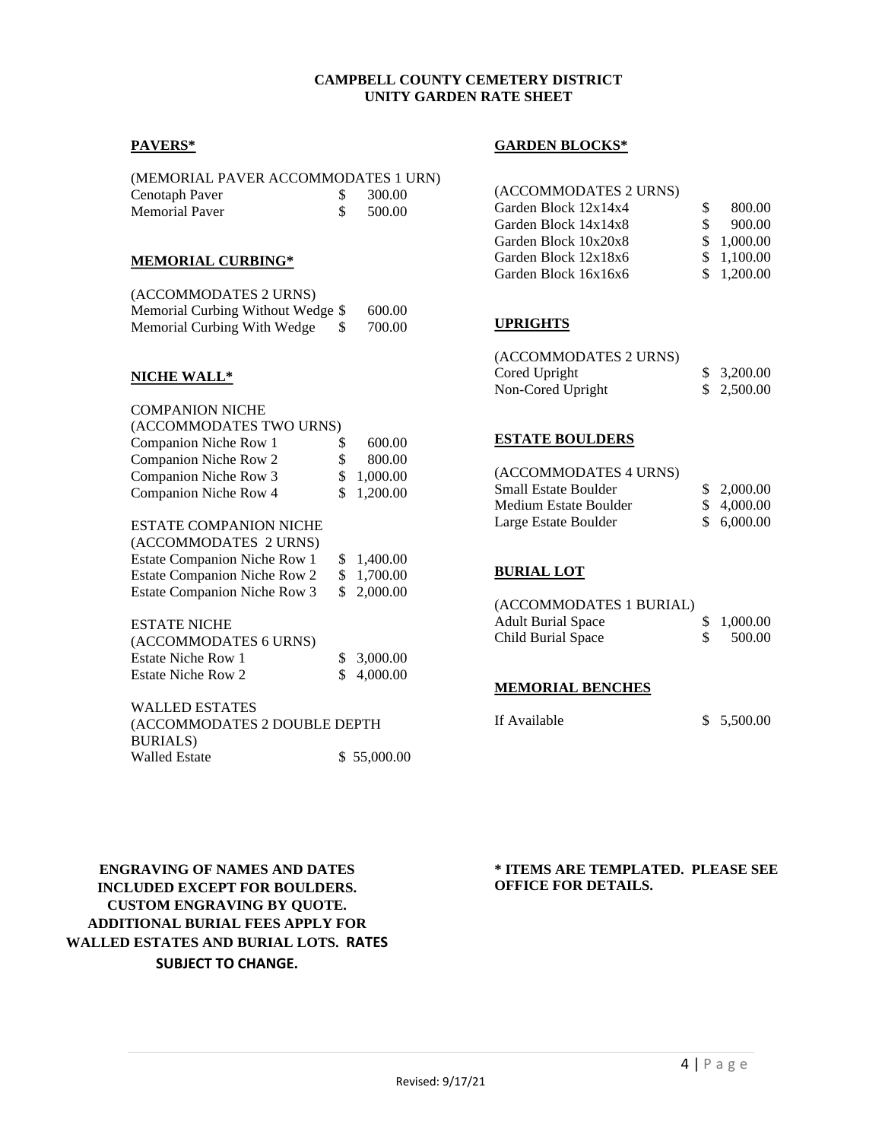### **CAMPBELL COUNTY CEMETERY DISTRICT UNITY GARDEN RATE SHEET**

### **PAVERS\***

| (MEMORIAL PAVER ACCOMMODATES 1 URN) |        |
|-------------------------------------|--------|
| Cenotaph Paver                      | 300.00 |
| Memorial Paver                      | 500.00 |

### **MEMORIAL CURBING\***

| (ACCOMMODATES 2 URNS)              |        |
|------------------------------------|--------|
| Memorial Curbing Without Wedge \$  | 600.00 |
| Memorial Curbing With Wedge<br>-SS | 700.00 |

### **NICHE WALL\***

| COMPANION NICHE                                 |                |  |
|-------------------------------------------------|----------------|--|
| (ACCOMMODATES TWO URNS)                         |                |  |
| Companion Niche Row 1                           | \$<br>600.00   |  |
| Companion Niche Row 2                           | \$<br>800.00   |  |
| Companion Niche Row 3                           | \$<br>1,000.00 |  |
| Companion Niche Row 4                           | \$<br>1,200.00 |  |
| ESTATE COMPANION NICHE<br>(ACCOMMODATES 2 URNS) |                |  |
| <b>Estate Companion Niche Row 1</b>             | \$<br>1,400.00 |  |
| <b>Estate Companion Niche Row 2</b>             | \$<br>1,700.00 |  |
| <b>Estate Companion Niche Row 3</b>             | \$<br>2,000.00 |  |
| ESTATE NICHE<br>(ACCOMMODATES 6 URNS)           |                |  |
|                                                 |                |  |

| Estate Niche Row 1 | \$3,000.00 |
|--------------------|------------|
| Estate Niche Row 2 | \$4,000.00 |

WALLED ESTATES (ACCOMMODATES 2 DOUBLE DEPTH BURIALS) Walled Estate \$ 55,000.00

#### **GARDEN BLOCKS\***

| (ACCOMMODATES 2 URNS) |   |            |
|-----------------------|---|------------|
| Garden Block 12x14x4  | S | 800.00     |
| Garden Block 14x14x8  | S | 900.00     |
| Garden Block 10x20x8  |   | \$1,000.00 |
| Garden Block 12x18x6  |   | \$1.100.00 |
| Garden Block 16x16x6  |   | \$1,200.00 |

### **UPRIGHTS**

| (ACCOMMODATES 2 URNS) |             |
|-----------------------|-------------|
| Cored Upright         | \$3,200.00  |
| Non-Cored Upright     | \$ 2,500.00 |

#### **ESTATE BOULDERS**

| (ACCOMMODATES 4 URNS) |            |
|-----------------------|------------|
| Small Estate Boulder  | \$2,000.00 |
| Medium Estate Boulder | \$4,000,00 |
| Large Estate Boulder  | \$6,000.00 |

### **BURIAL LOT**

| (ACCOMMODATES 1 BURIAL)   |            |
|---------------------------|------------|
| <b>Adult Burial Space</b> | \$1,000.00 |
| Child Burial Space        | 500.00     |

#### **MEMORIAL BENCHES**

If Available \$ 5,500.00

**ENGRAVING OF NAMES AND DATES INCLUDED EXCEPT FOR BOULDERS. CUSTOM ENGRAVING BY QUOTE. ADDITIONAL BURIAL FEES APPLY FOR WALLED ESTATES AND BURIAL LOTS. RATES SUBJECT TO CHANGE.**

**\* ITEMS ARE TEMPLATED. PLEASE SEE OFFICE FOR DETAILS.**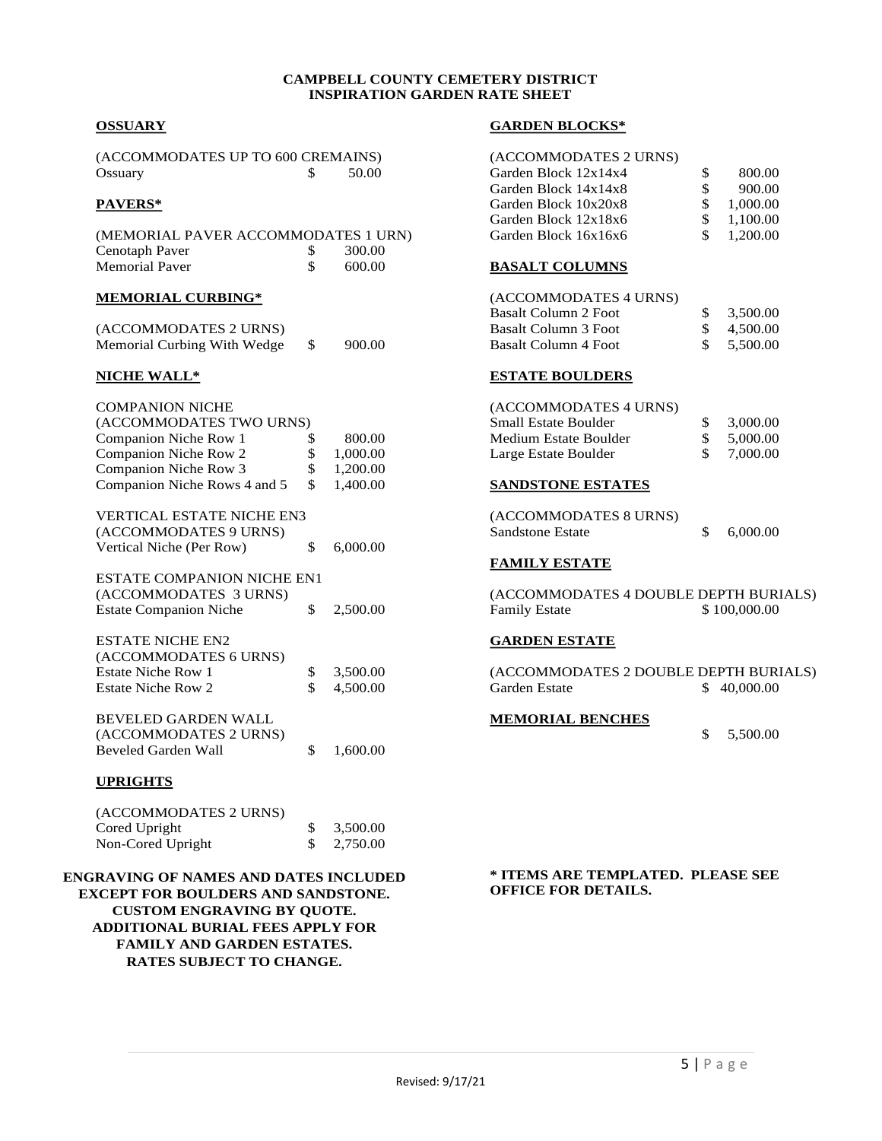#### **CAMPBELL COUNTY CEMETERY DISTRICT INSPIRATION GARDEN RATE SHEET**

### **OSSUARY**

| (ACCOMMODATES UP TO 600 CREMAINS) |       |
|-----------------------------------|-------|
| Ossuary                           | 50.00 |

### **PAVERS\***

| (MEMORIAL PAVER ACCOMMODATES 1 URN) |        |
|-------------------------------------|--------|
| Cenotaph Paver                      | 300.00 |
| <b>Memorial Paver</b>               | 600.00 |

#### **MEMORIAL CURBING\***

| (ACCOMMODATES 2 URNS)       |        |
|-----------------------------|--------|
| Memorial Curbing With Wedge | 900.00 |

#### **NICHE WALL\***

| <b>COMPANION NICHE</b>            |                |
|-----------------------------------|----------------|
| (ACCOMMODATES TWO URNS)           |                |
| Companion Niche Row 1             | \$<br>800.00   |
| Companion Niche Row 2             | \$<br>1,000.00 |
| Companion Niche Row 3             | \$<br>1,200.00 |
| Companion Niche Rows 4 and 5      | \$<br>1,400.00 |
| <b>VERTICAL ESTATE NICHE EN3</b>  |                |
| (ACCOMMODATES 9 URNS)             |                |
| Vertical Niche (Per Row)          | \$<br>6,000.00 |
| <b>ESTATE COMPANION NICHE EN1</b> |                |
| (ACCOMMODATES 3 URNS)             |                |
| <b>Estate Companion Niche</b>     | \$<br>2,500.00 |
| <b>ESTATE NICHE EN2</b>           |                |
| (ACCOMMODATES 6 URNS)             |                |
| <b>Estate Niche Row 1</b>         | \$<br>3,500.00 |
| <b>Estate Niche Row 2</b>         | \$<br>4,500.00 |
| <b>BEVELED GARDEN WALL</b>        |                |
| (ACCOMMODATES 2 URNS)             |                |
| <b>Beveled Garden Wall</b>        | \$<br>1,600.00 |
|                                   |                |

### **UPRIGHTS**

| \$3,500.00            |
|-----------------------|
| $\frac{\$}{2,750.00}$ |
|                       |

**ENGRAVING OF NAMES AND DATES INCLUDED EXCEPT FOR BOULDERS AND SANDSTONE. CUSTOM ENGRAVING BY QUOTE. ADDITIONAL BURIAL FEES APPLY FOR FAMILY AND GARDEN ESTATES. RATES SUBJECT TO CHANGE.**

#### **GARDEN BLOCKS\***

| (ACCOMMODATES 2 URNS) |    |          |
|-----------------------|----|----------|
| Garden Block 12x14x4  | S  | 800.00   |
| Garden Block 14x14x8  | S  | 900.00   |
| Garden Block 10x20x8  | S. | 1,000.00 |
| Garden Block 12x18x6  | S. | 1.100.00 |
| Garden Block 16x16x6  | S. | 1,200.00 |

#### **BASALT COLUMNS**

| (ACCOMMODATES 4 URNS) |          |
|-----------------------|----------|
| Basalt Column 2 Foot  | 3.500.00 |
| Basalt Column 3 Foot  | 4.500.00 |
| Basalt Column 4 Foot  | 5.500.00 |

### **ESTATE BOULDERS**

| (ACCOMMODATES 4 URNS)       |     |          |
|-----------------------------|-----|----------|
| <b>Small Estate Boulder</b> | S.  | 3,000.00 |
| Medium Estate Boulder       | -SS | 5,000.00 |
| Large Estate Boulder        | £.  | 7,000.00 |

### **SANDSTONE ESTATES**

| (ACCOMMODATES 8 URNS) |          |
|-----------------------|----------|
| Sandstone Estate      | 6,000.00 |

### **FAMILY ESTATE**

(ACCOMMODATES 4 DOUBLE DEPTH BURIALS)<br>Family Estate \$100,000.00 Family Estate

### **GARDEN ESTATE**

(ACCOMMODATES 2 DOUBLE DEPTH BURIALS) Garden Estate \$ 40,000.00

#### **MEMORIAL BENCHES**

\$ 5,500.00

**\* ITEMS ARE TEMPLATED. PLEASE SEE OFFICE FOR DETAILS.**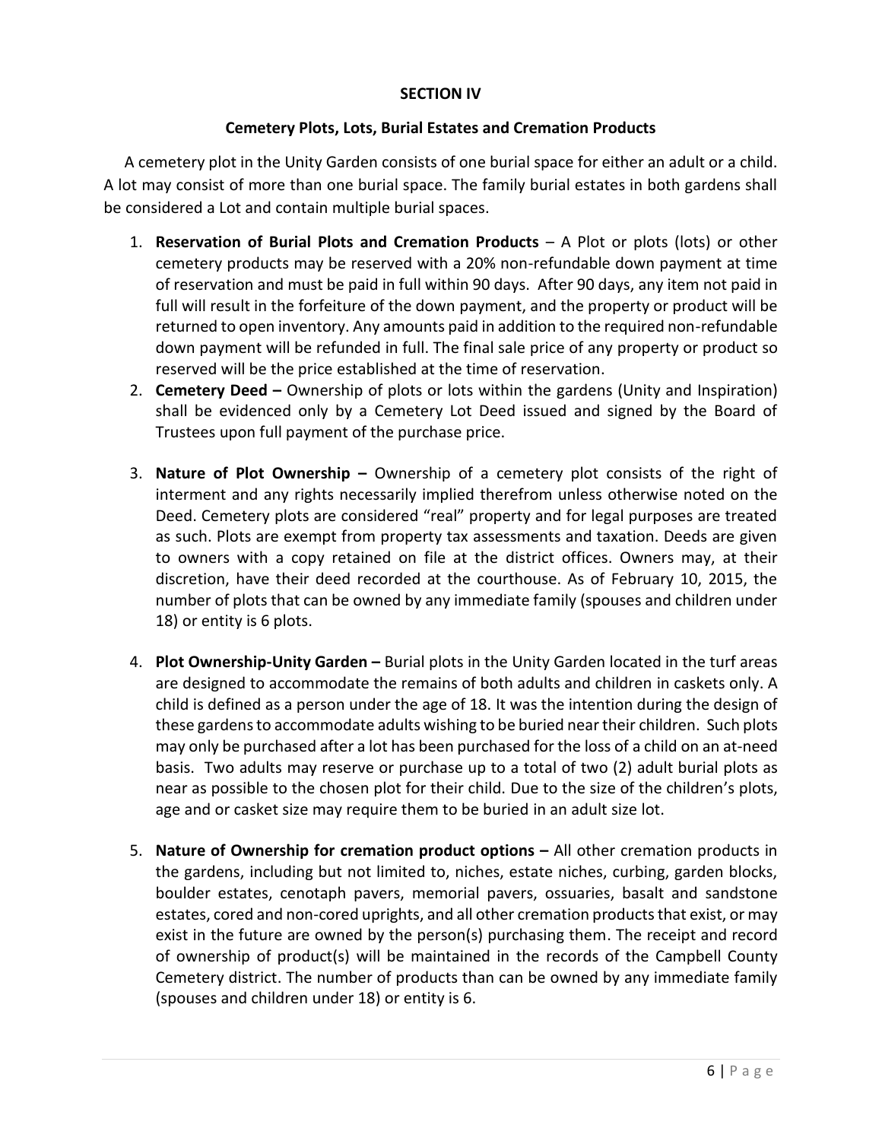## **SECTION IV**

## **Cemetery Plots, Lots, Burial Estates and Cremation Products**

A cemetery plot in the Unity Garden consists of one burial space for either an adult or a child. A lot may consist of more than one burial space. The family burial estates in both gardens shall be considered a Lot and contain multiple burial spaces.

- 1. **Reservation of Burial Plots and Cremation Products** A Plot or plots (lots) or other cemetery products may be reserved with a 20% non-refundable down payment at time of reservation and must be paid in full within 90 days. After 90 days, any item not paid in full will result in the forfeiture of the down payment, and the property or product will be returned to open inventory. Any amounts paid in addition to the required non-refundable down payment will be refunded in full. The final sale price of any property or product so reserved will be the price established at the time of reservation.
- 2. **Cemetery Deed –** Ownership of plots or lots within the gardens (Unity and Inspiration) shall be evidenced only by a Cemetery Lot Deed issued and signed by the Board of Trustees upon full payment of the purchase price.
- 3. **Nature of Plot Ownership –** Ownership of a cemetery plot consists of the right of interment and any rights necessarily implied therefrom unless otherwise noted on the Deed. Cemetery plots are considered "real" property and for legal purposes are treated as such. Plots are exempt from property tax assessments and taxation. Deeds are given to owners with a copy retained on file at the district offices. Owners may, at their discretion, have their deed recorded at the courthouse. As of February 10, 2015, the number of plots that can be owned by any immediate family (spouses and children under 18) or entity is 6 plots.
- 4. **Plot Ownership-Unity Garden –** Burial plots in the Unity Garden located in the turf areas are designed to accommodate the remains of both adults and children in caskets only. A child is defined as a person under the age of 18. It was the intention during the design of these gardens to accommodate adults wishing to be buried near their children. Such plots may only be purchased after a lot has been purchased for the loss of a child on an at-need basis. Two adults may reserve or purchase up to a total of two (2) adult burial plots as near as possible to the chosen plot for their child. Due to the size of the children's plots, age and or casket size may require them to be buried in an adult size lot.
- 5. **Nature of Ownership for cremation product options –** All other cremation products in the gardens, including but not limited to, niches, estate niches, curbing, garden blocks, boulder estates, cenotaph pavers, memorial pavers, ossuaries, basalt and sandstone estates, cored and non-cored uprights, and all other cremation products that exist, or may exist in the future are owned by the person(s) purchasing them. The receipt and record of ownership of product(s) will be maintained in the records of the Campbell County Cemetery district. The number of products than can be owned by any immediate family (spouses and children under 18) or entity is 6.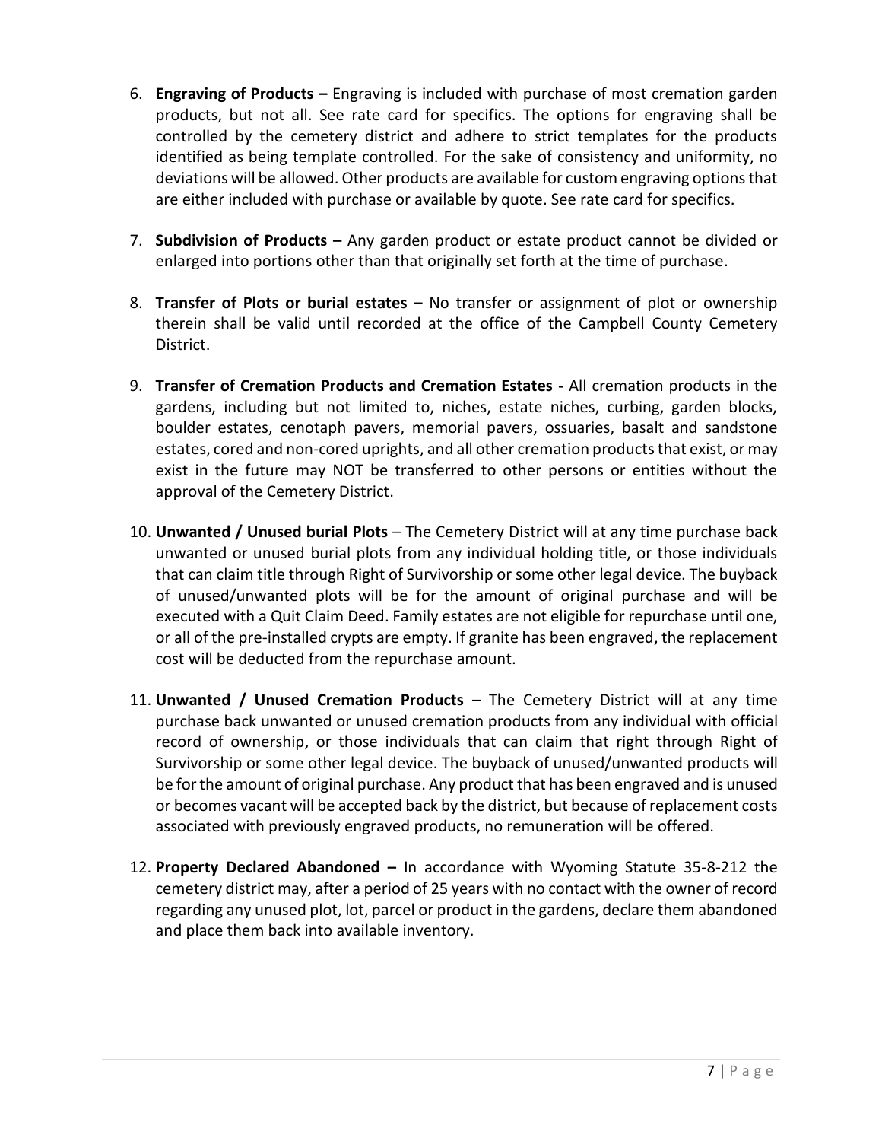- 6. **Engraving of Products –** Engraving is included with purchase of most cremation garden products, but not all. See rate card for specifics. The options for engraving shall be controlled by the cemetery district and adhere to strict templates for the products identified as being template controlled. For the sake of consistency and uniformity, no deviations will be allowed. Other products are available for custom engraving options that are either included with purchase or available by quote. See rate card for specifics.
- 7. **Subdivision of Products –** Any garden product or estate product cannot be divided or enlarged into portions other than that originally set forth at the time of purchase.
- 8. **Transfer of Plots or burial estates –** No transfer or assignment of plot or ownership therein shall be valid until recorded at the office of the Campbell County Cemetery District.
- 9. **Transfer of Cremation Products and Cremation Estates -** All cremation products in the gardens, including but not limited to, niches, estate niches, curbing, garden blocks, boulder estates, cenotaph pavers, memorial pavers, ossuaries, basalt and sandstone estates, cored and non-cored uprights, and all other cremation products that exist, or may exist in the future may NOT be transferred to other persons or entities without the approval of the Cemetery District.
- 10. **Unwanted / Unused burial Plots**  The Cemetery District will at any time purchase back unwanted or unused burial plots from any individual holding title, or those individuals that can claim title through Right of Survivorship or some other legal device. The buyback of unused/unwanted plots will be for the amount of original purchase and will be executed with a Quit Claim Deed. Family estates are not eligible for repurchase until one, or all of the pre-installed crypts are empty. If granite has been engraved, the replacement cost will be deducted from the repurchase amount.
- 11. **Unwanted / Unused Cremation Products**  The Cemetery District will at any time purchase back unwanted or unused cremation products from any individual with official record of ownership, or those individuals that can claim that right through Right of Survivorship or some other legal device. The buyback of unused/unwanted products will be for the amount of original purchase. Any product that has been engraved and is unused or becomes vacant will be accepted back by the district, but because of replacement costs associated with previously engraved products, no remuneration will be offered.
- 12. **Property Declared Abandoned –** In accordance with Wyoming Statute 35-8-212 the cemetery district may, after a period of 25 years with no contact with the owner of record regarding any unused plot, lot, parcel or product in the gardens, declare them abandoned and place them back into available inventory.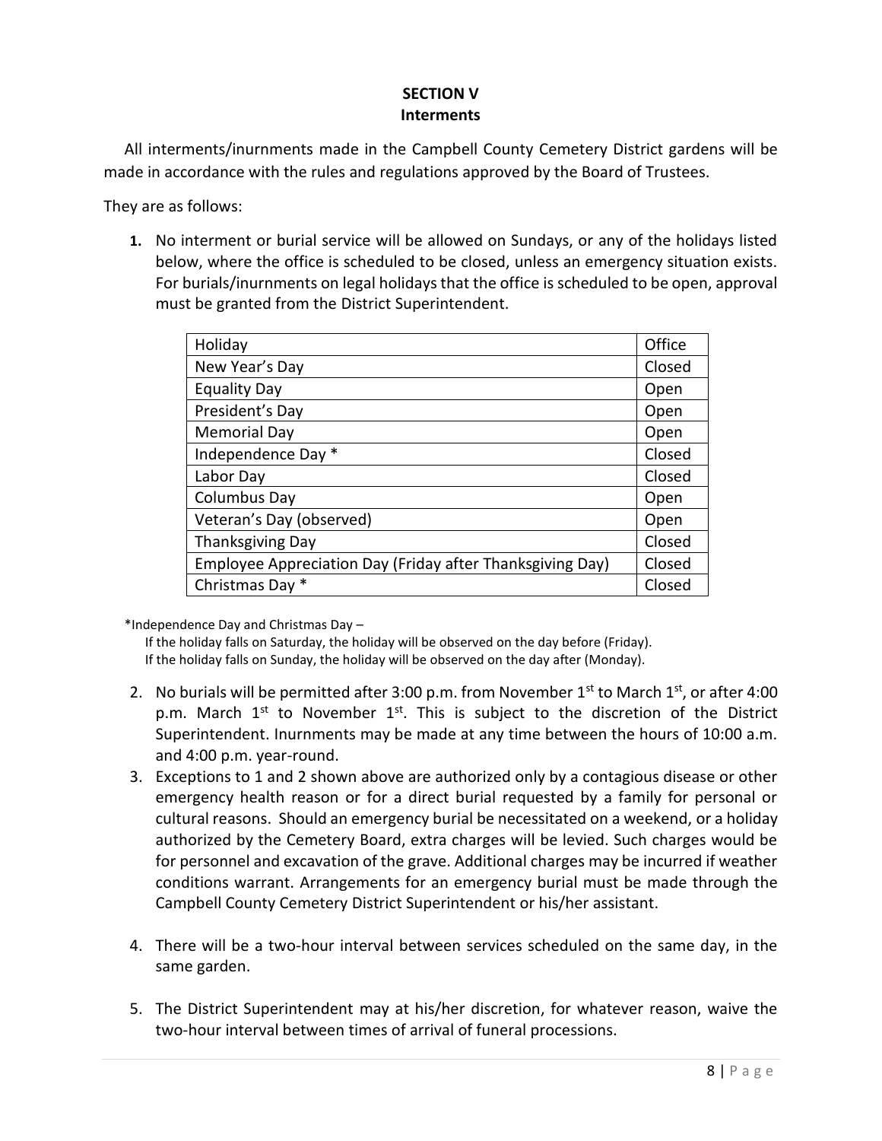# **SECTION V Interments**

All interments/inurnments made in the Campbell County Cemetery District gardens will be made in accordance with the rules and regulations approved by the Board of Trustees.

They are as follows:

**1.** No interment or burial service will be allowed on Sundays, or any of the holidays listed below, where the office is scheduled to be closed, unless an emergency situation exists. For burials/inurnments on legal holidays that the office is scheduled to be open, approval must be granted from the District Superintendent.

| Holiday                                                   | Office |
|-----------------------------------------------------------|--------|
| New Year's Day                                            | Closed |
| <b>Equality Day</b>                                       | Open   |
| President's Day                                           | Open   |
| <b>Memorial Day</b>                                       | Open   |
| Independence Day *                                        | Closed |
| Labor Day                                                 | Closed |
| Columbus Day                                              | Open   |
| Veteran's Day (observed)                                  | Open   |
| <b>Thanksgiving Day</b>                                   | Closed |
| Employee Appreciation Day (Friday after Thanksgiving Day) | Closed |
| Christmas Day *                                           | Closed |

\*Independence Day and Christmas Day –

If the holiday falls on Saturday, the holiday will be observed on the day before (Friday). If the holiday falls on Sunday, the holiday will be observed on the day after (Monday).

- 2. No burials will be permitted after 3:00 p.m. from November  $1^{st}$  to March  $1^{st}$ , or after 4:00 p.m. March  $1<sup>st</sup>$  to November  $1<sup>st</sup>$ . This is subject to the discretion of the District Superintendent. Inurnments may be made at any time between the hours of 10:00 a.m. and 4:00 p.m. year-round.
- 3. Exceptions to 1 and 2 shown above are authorized only by a contagious disease or other emergency health reason or for a direct burial requested by a family for personal or cultural reasons. Should an emergency burial be necessitated on a weekend, or a holiday authorized by the Cemetery Board, extra charges will be levied. Such charges would be for personnel and excavation of the grave. Additional charges may be incurred if weather conditions warrant. Arrangements for an emergency burial must be made through the Campbell County Cemetery District Superintendent or his/her assistant.
- 4. There will be a two-hour interval between services scheduled on the same day, in the same garden.
- 5. The District Superintendent may at his/her discretion, for whatever reason, waive the two-hour interval between times of arrival of funeral processions.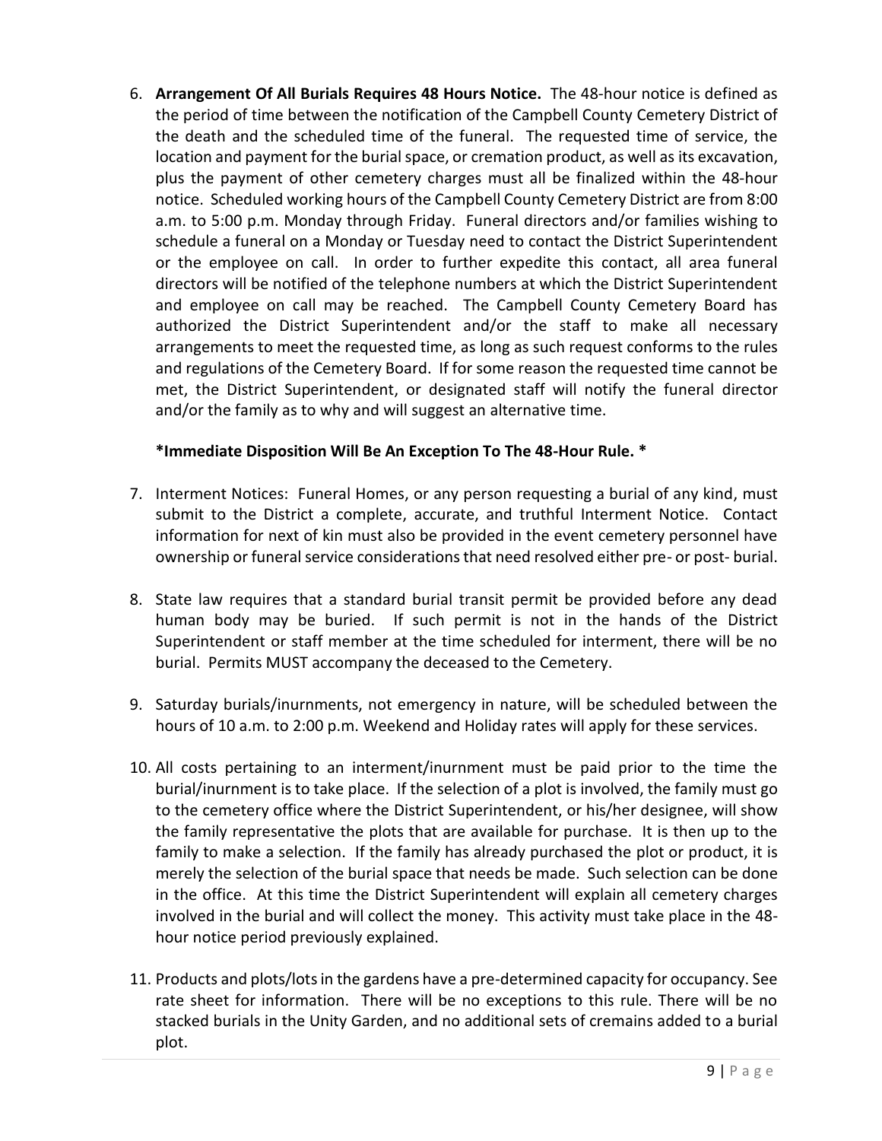6. **Arrangement Of All Burials Requires 48 Hours Notice.** The 48-hour notice is defined as the period of time between the notification of the Campbell County Cemetery District of the death and the scheduled time of the funeral. The requested time of service, the location and payment for the burial space, or cremation product, as well as its excavation, plus the payment of other cemetery charges must all be finalized within the 48-hour notice. Scheduled working hours of the Campbell County Cemetery District are from 8:00 a.m. to 5:00 p.m. Monday through Friday. Funeral directors and/or families wishing to schedule a funeral on a Monday or Tuesday need to contact the District Superintendent or the employee on call. In order to further expedite this contact, all area funeral directors will be notified of the telephone numbers at which the District Superintendent and employee on call may be reached. The Campbell County Cemetery Board has authorized the District Superintendent and/or the staff to make all necessary arrangements to meet the requested time, as long as such request conforms to the rules and regulations of the Cemetery Board. If for some reason the requested time cannot be met, the District Superintendent, or designated staff will notify the funeral director and/or the family as to why and will suggest an alternative time.

# **\*Immediate Disposition Will Be An Exception To The 48-Hour Rule. \***

- 7. Interment Notices: Funeral Homes, or any person requesting a burial of any kind, must submit to the District a complete, accurate, and truthful Interment Notice. Contact information for next of kin must also be provided in the event cemetery personnel have ownership or funeral service considerations that need resolved either pre- or post- burial.
- 8. State law requires that a standard burial transit permit be provided before any dead human body may be buried. If such permit is not in the hands of the District Superintendent or staff member at the time scheduled for interment, there will be no burial. Permits MUST accompany the deceased to the Cemetery.
- 9. Saturday burials/inurnments, not emergency in nature, will be scheduled between the hours of 10 a.m. to 2:00 p.m. Weekend and Holiday rates will apply for these services.
- 10. All costs pertaining to an interment/inurnment must be paid prior to the time the burial/inurnment is to take place. If the selection of a plot is involved, the family must go to the cemetery office where the District Superintendent, or his/her designee, will show the family representative the plots that are available for purchase. It is then up to the family to make a selection. If the family has already purchased the plot or product, it is merely the selection of the burial space that needs be made. Such selection can be done in the office. At this time the District Superintendent will explain all cemetery charges involved in the burial and will collect the money. This activity must take place in the 48 hour notice period previously explained.
- 11. Products and plots/lots in the gardens have a pre-determined capacity for occupancy. See rate sheet for information. There will be no exceptions to this rule. There will be no stacked burials in the Unity Garden, and no additional sets of cremains added to a burial plot.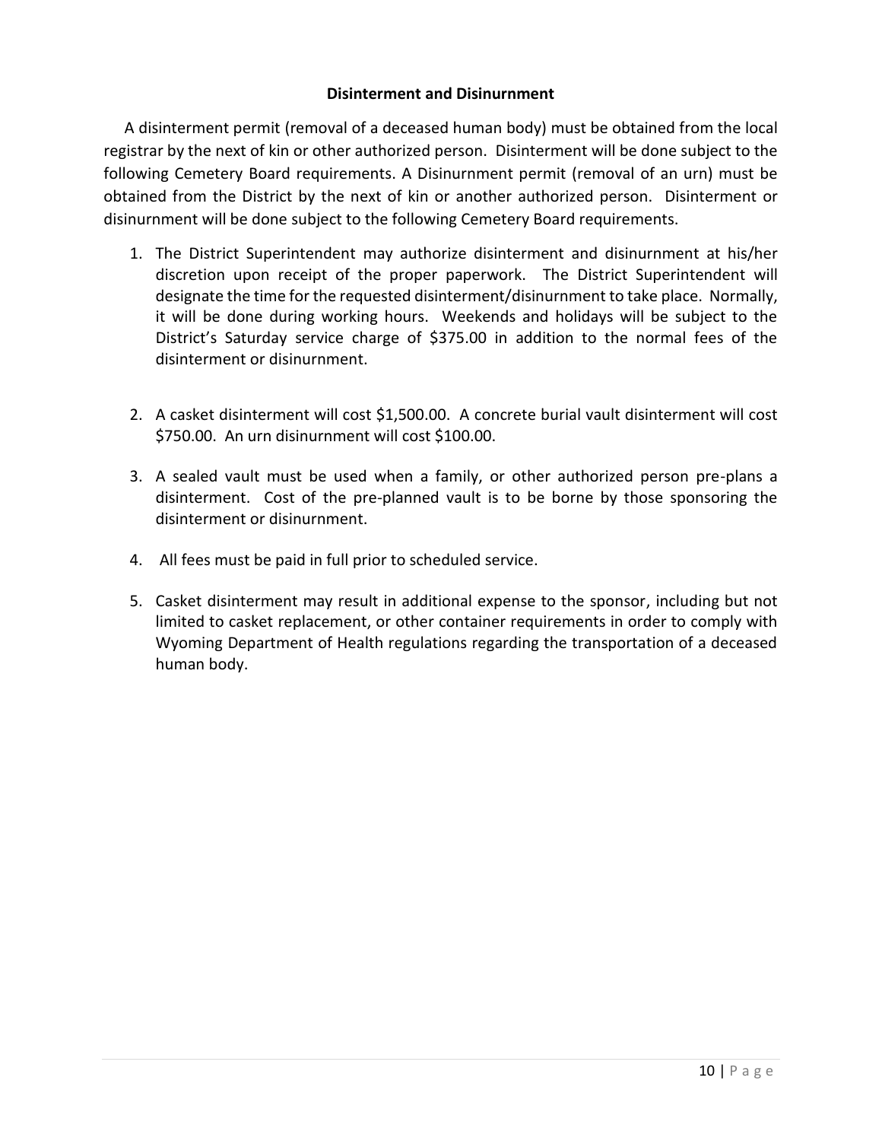## **Disinterment and Disinurnment**

A disinterment permit (removal of a deceased human body) must be obtained from the local registrar by the next of kin or other authorized person. Disinterment will be done subject to the following Cemetery Board requirements. A Disinurnment permit (removal of an urn) must be obtained from the District by the next of kin or another authorized person. Disinterment or disinurnment will be done subject to the following Cemetery Board requirements.

- 1. The District Superintendent may authorize disinterment and disinurnment at his/her discretion upon receipt of the proper paperwork. The District Superintendent will designate the time for the requested disinterment/disinurnment to take place. Normally, it will be done during working hours. Weekends and holidays will be subject to the District's Saturday service charge of \$375.00 in addition to the normal fees of the disinterment or disinurnment.
- 2. A casket disinterment will cost \$1,500.00. A concrete burial vault disinterment will cost \$750.00. An urn disinurnment will cost \$100.00.
- 3. A sealed vault must be used when a family, or other authorized person pre-plans a disinterment. Cost of the pre-planned vault is to be borne by those sponsoring the disinterment or disinurnment.
- 4. All fees must be paid in full prior to scheduled service.
- 5. Casket disinterment may result in additional expense to the sponsor, including but not limited to casket replacement, or other container requirements in order to comply with Wyoming Department of Health regulations regarding the transportation of a deceased human body.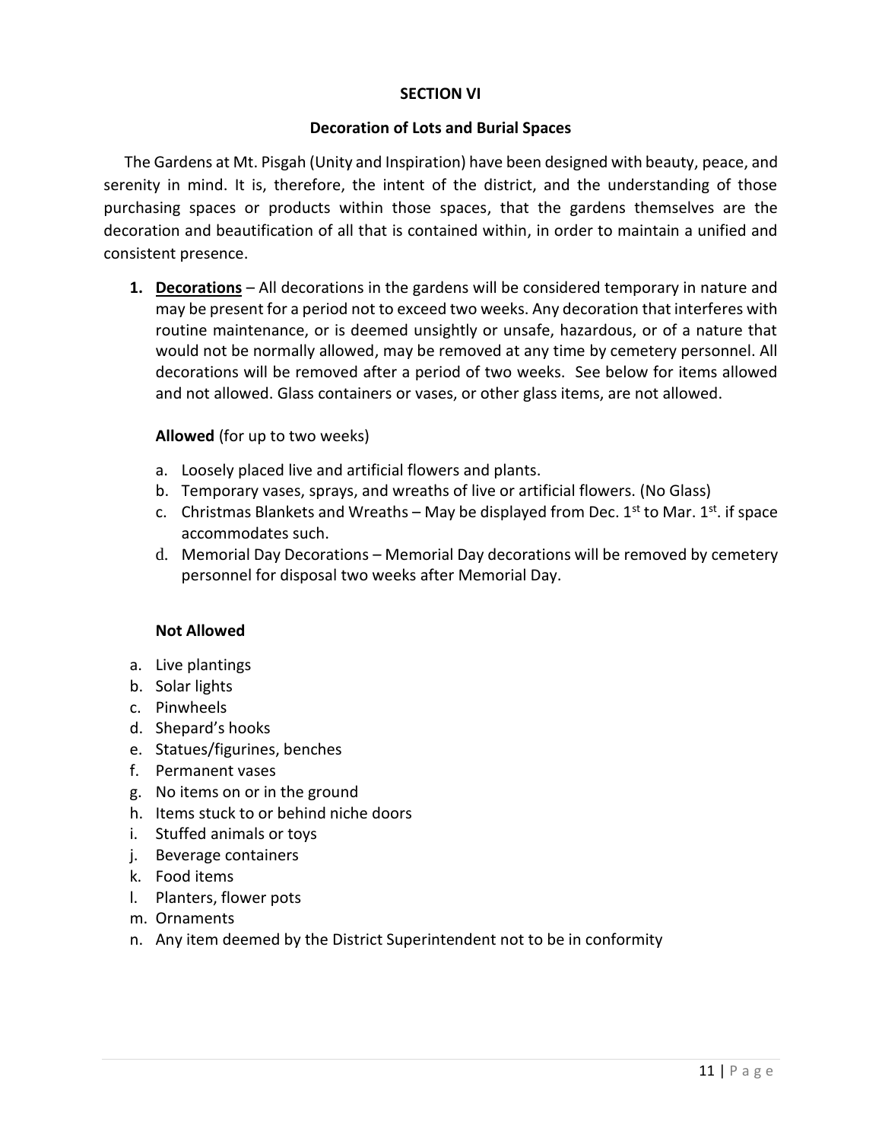## **SECTION VI**

### **Decoration of Lots and Burial Spaces**

The Gardens at Mt. Pisgah (Unity and Inspiration) have been designed with beauty, peace, and serenity in mind. It is, therefore, the intent of the district, and the understanding of those purchasing spaces or products within those spaces, that the gardens themselves are the decoration and beautification of all that is contained within, in order to maintain a unified and consistent presence.

**1. Decorations** – All decorations in the gardens will be considered temporary in nature and may be present for a period not to exceed two weeks. Any decoration that interferes with routine maintenance, or is deemed unsightly or unsafe, hazardous, or of a nature that would not be normally allowed, may be removed at any time by cemetery personnel. All decorations will be removed after a period of two weeks. See below for items allowed and not allowed. Glass containers or vases, or other glass items, are not allowed.

## **Allowed** (for up to two weeks)

- a. Loosely placed live and artificial flowers and plants.
- b. Temporary vases, sprays, and wreaths of live or artificial flowers. (No Glass)
- c. Christmas Blankets and Wreaths May be displayed from Dec. 1<sup>st</sup> to Mar. 1<sup>st</sup>. if space accommodates such.
- d. Memorial Day Decorations Memorial Day decorations will be removed by cemetery personnel for disposal two weeks after Memorial Day.

## **Not Allowed**

- a. Live plantings
- b. Solar lights
- c. Pinwheels
- d. Shepard's hooks
- e. Statues/figurines, benches
- f. Permanent vases
- g. No items on or in the ground
- h. Items stuck to or behind niche doors
- i. Stuffed animals or toys
- j. Beverage containers
- k. Food items
- l. Planters, flower pots
- m. Ornaments
- n. Any item deemed by the District Superintendent not to be in conformity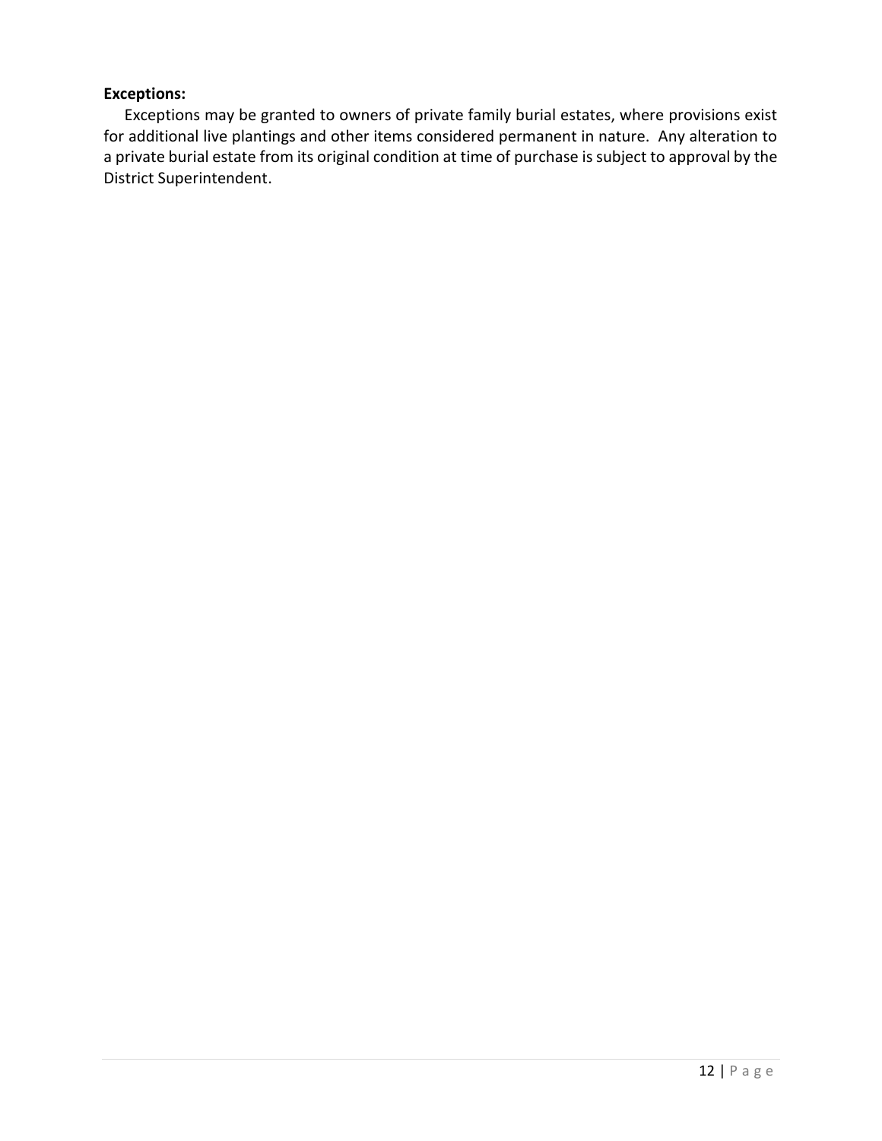# **Exceptions:**

Exceptions may be granted to owners of private family burial estates, where provisions exist for additional live plantings and other items considered permanent in nature. Any alteration to a private burial estate from its original condition at time of purchase is subject to approval by the District Superintendent.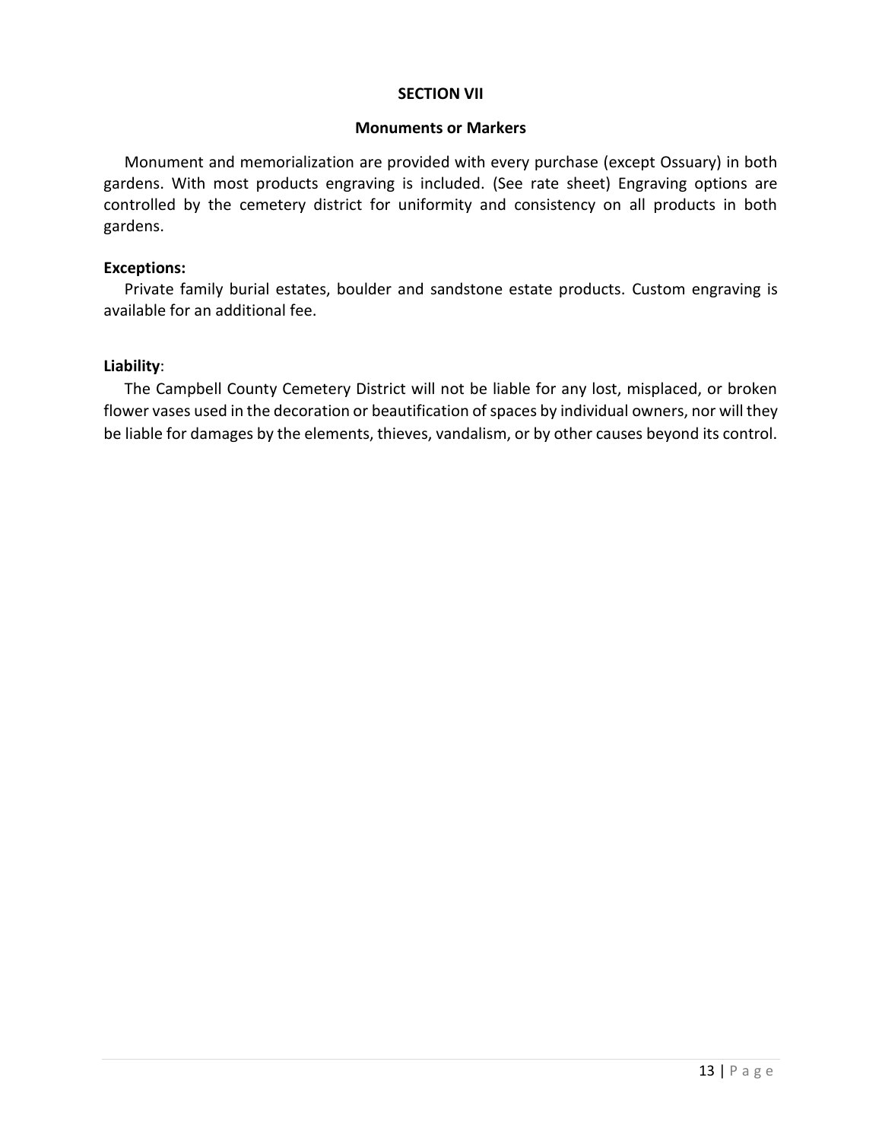### **SECTION VII**

### **Monuments or Markers**

Monument and memorialization are provided with every purchase (except Ossuary) in both gardens. With most products engraving is included. (See rate sheet) Engraving options are controlled by the cemetery district for uniformity and consistency on all products in both gardens.

## **Exceptions:**

Private family burial estates, boulder and sandstone estate products. Custom engraving is available for an additional fee.

## **Liability**:

The Campbell County Cemetery District will not be liable for any lost, misplaced, or broken flower vases used in the decoration or beautification of spaces by individual owners, nor will they be liable for damages by the elements, thieves, vandalism, or by other causes beyond its control.